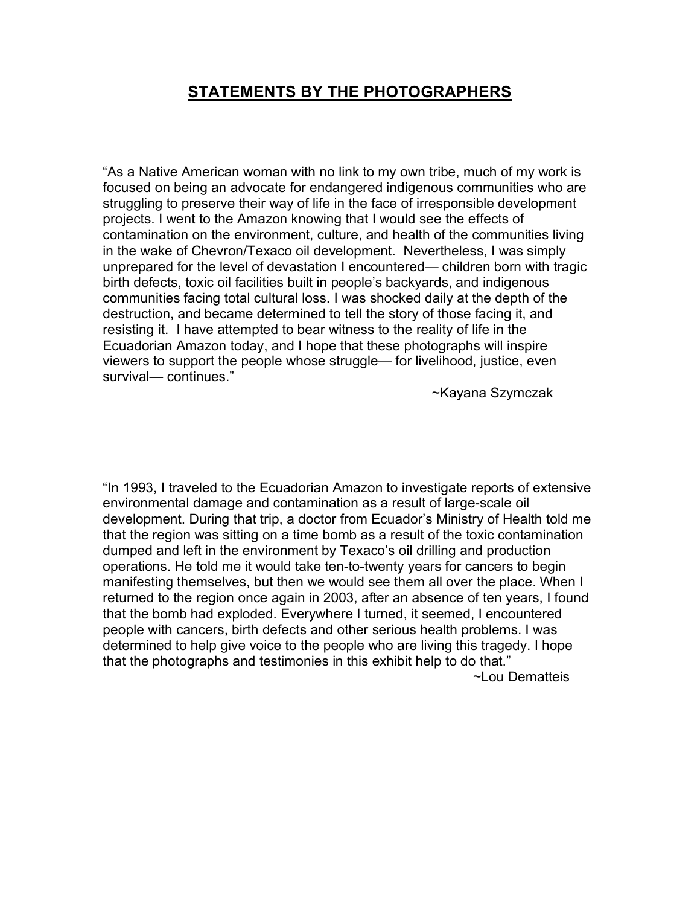## **STATEMENTS BY THE PHOTOGRAPHERS**

"As a Native American woman with no link to my own tribe, much of my work is focused on being an advocate for endangered indigenous communities who are struggling to preserve their way of life in the face of irresponsible development projects. I went to the Amazon knowing that I would see the effects of contamination on the environment, culture, and health of the communities living in the wake of Chevron/Texaco oil development. Nevertheless, I was simply unprepared for the level of devastation I encountered— children born with tragic birth defects, toxic oil facilities built in people's backyards, and indigenous communities facing total cultural loss. I was shocked daily at the depth of the destruction, and became determined to tell the story of those facing it, and resisting it. I have attempted to bear witness to the reality of life in the Ecuadorian Amazon today, and I hope that these photographs will inspire viewers to support the people whose struggle— for livelihood, justice, even survival— continues."

~Kayana Szymczak

"In 1993, I traveled to the Ecuadorian Amazon to investigate reports of extensive environmental damage and contamination as a result of large-scale oil development. During that trip, a doctor from Ecuador's Ministry of Health told me that the region was sitting on a time bomb as a result of the toxic contamination dumped and left in the environment by Texaco's oil drilling and production operations. He told me it would take ten-to-twenty years for cancers to begin manifesting themselves, but then we would see them all over the place. When I returned to the region once again in 2003, after an absence of ten years, I found that the bomb had exploded. Everywhere I turned, it seemed, I encountered people with cancers, birth defects and other serious health problems. I was determined to help give voice to the people who are living this tragedy. I hope that the photographs and testimonies in this exhibit help to do that." ~Lou Dematteis